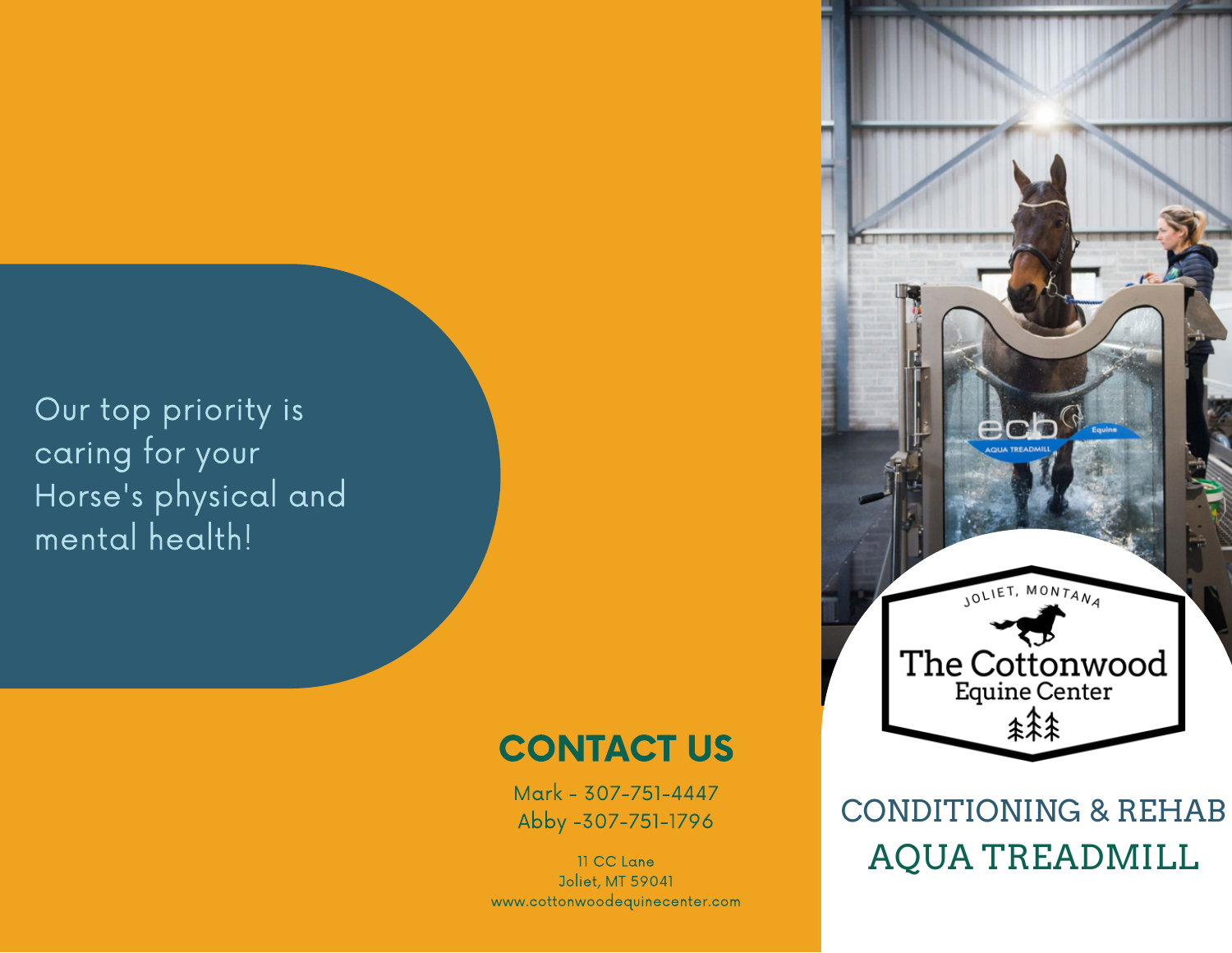Our top priority is caring for your Horse's physical and mental health!

## CONTACT US

Mark - 307-751-4447 Abby -307-751-1796

11 CC Lane Joliet, MT 59041 www.cottonwoodequinecenter.com

AQUA TREADMILL CONDITIONING & REHAB

JOLIET, MONTANA

The Cottonwood

**\*\*\***